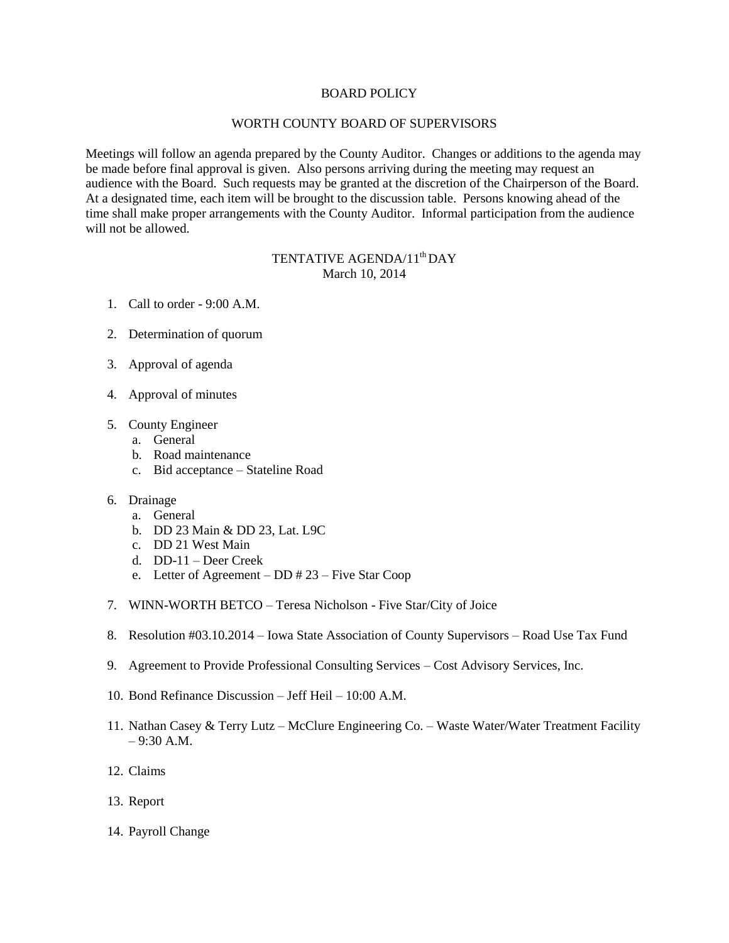## BOARD POLICY

## WORTH COUNTY BOARD OF SUPERVISORS

Meetings will follow an agenda prepared by the County Auditor. Changes or additions to the agenda may be made before final approval is given. Also persons arriving during the meeting may request an audience with the Board. Such requests may be granted at the discretion of the Chairperson of the Board. At a designated time, each item will be brought to the discussion table. Persons knowing ahead of the time shall make proper arrangements with the County Auditor. Informal participation from the audience will not be allowed.

## TENTATIVE AGENDA/11<sup>th</sup> DAY March 10, 2014

- 1. Call to order 9:00 A.M.
- 2. Determination of quorum
- 3. Approval of agenda
- 4. Approval of minutes
- 5. County Engineer
	- a. General
	- b. Road maintenance
	- c. Bid acceptance Stateline Road
- 6. Drainage
	- a. General
	- b. DD 23 Main & DD 23, Lat. L9C
	- c. DD 21 West Main
	- d. DD-11 Deer Creek
	- e. Letter of Agreement DD # 23 Five Star Coop
- 7. WINN-WORTH BETCO Teresa Nicholson Five Star/City of Joice
- 8. Resolution #03.10.2014 Iowa State Association of County Supervisors Road Use Tax Fund
- 9. Agreement to Provide Professional Consulting Services Cost Advisory Services, Inc.
- 10. Bond Refinance Discussion Jeff Heil 10:00 A.M.
- 11. Nathan Casey & Terry Lutz McClure Engineering Co. Waste Water/Water Treatment Facility – 9:30 A.M.
- 12. Claims
- 13. Report
- 14. Payroll Change